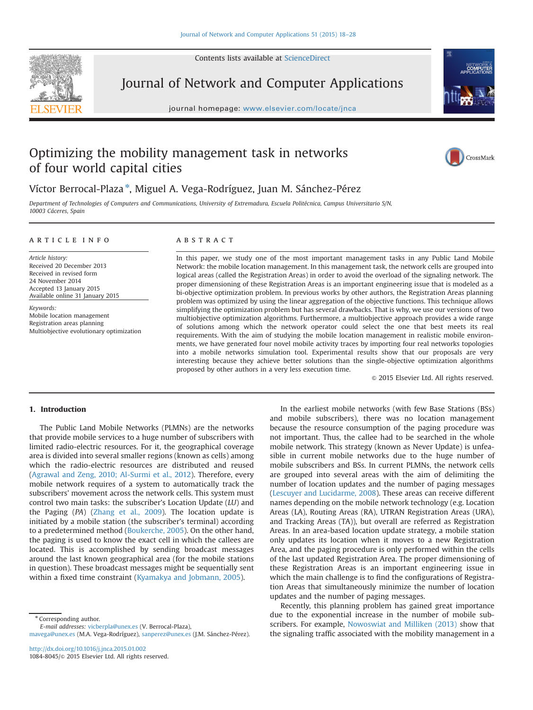Contents lists available at [ScienceDirect](www.sciencedirect.com/science/journal/10848045)



Journal of Network and Computer Applications

journal homepage: where  $j$ 



## Optimizing the mobility management task in networks of four world capital cities



### Víctor Berrocal-Plaza \*, Miguel A. Vega-Rodríguez, Juan M. Sánchez-Pérez

Department of Technologies of Computers and Communications, University of Extremadura, Escuela Politécnica, Campus Universitario S/N, 10003 Cáceres, Spain

#### article info

Article history: Received 20 December 2013 Received in revised form 24 November 2014 Accepted 13 January 2015 Available online 31 January 2015

Keywords: Mobile location management Registration areas planning Multiobjective evolutionary optimization

#### **ABSTRACT**

In this paper, we study one of the most important management tasks in any Public Land Mobile Network: the mobile location management. In this management task, the network cells are grouped into logical areas (called the Registration Areas) in order to avoid the overload of the signaling network. The proper dimensioning of these Registration Areas is an important engineering issue that is modeled as a bi-objective optimization problem. In previous works by other authors, the Registration Areas planning problem was optimized by using the linear aggregation of the objective functions. This technique allows simplifying the optimization problem but has several drawbacks. That is why, we use our versions of two multiobjective optimization algorithms. Furthermore, a multiobjective approach provides a wide range of solutions among which the network operator could select the one that best meets its real requirements. With the aim of studying the mobile location management in realistic mobile environments, we have generated four novel mobile activity traces by importing four real networks topologies into a mobile networks simulation tool. Experimental results show that our proposals are very interesting because they achieve better solutions than the single-objective optimization algorithms proposed by other authors in a very less execution time.

 $@$  2015 Elsevier Ltd. All rights reserved.

#### 1. Introduction

The Public Land Mobile Networks (PLMNs) are the networks that provide mobile services to a huge number of subscribers with limited radio-electric resources. For it, the geographical coverage area is divided into several smaller regions (known as cells) among which the radio-electric resources are distributed and reused (Agrawal and Zeng, 2010; Al-Surmi et al., 2012). Therefore, every mobile network requires of a system to automatically track the subscribers' movement across the network cells. This system must control two main tasks: the subscriber's Location Update (LU) and the Paging (PA) (Zhang et al., 2009). The location update is initiated by a mobile station (the subscriber's terminal) according to a predetermined method (Boukerche, 2005). On the other hand, the paging is used to know the exact cell in which the callees are located. This is accomplished by sending broadcast messages around the last known geographical area (for the mobile stations in question). These broadcast messages might be sequentially sent within a fixed time constraint (Kyamakya and Jobmann, 2005).

\* Corresponding author.

E-mail addresses: [vicberpla@unex.es](mailto:vicberpla@unex.es) (V. Berrocal-Plaza), [mavega@unex.es](mailto:mavega@unex.es) (M.A. Vega-Rodríguez), [sanperez@unex.es](mailto:sanperez@unex.es) (J.M. Sánchez-Pérez).

<http://dx.doi.org/10.1016/j.jnca.2015.01.002> 1084-8045/& 2015 Elsevier Ltd. All rights reserved.

In the earliest mobile networks (with few Base Stations (BSs) and mobile subscribers), there was no location management because the resource consumption of the paging procedure was not important. Thus, the callee had to be searched in the whole mobile network. This strategy (known as Never Update) is unfeasible in current mobile networks due to the huge number of mobile subscribers and BSs. In current PLMNs, the network cells are grouped into several areas with the aim of delimiting the number of location updates and the number of paging messages (Lescuyer and Lucidarme, 2008). These areas can receive different names depending on the mobile network technology (e.g. Location Areas (LA), Routing Areas (RA), UTRAN Registration Areas (URA), and Tracking Areas (TA)), but overall are referred as Registration Areas. In an area-based location update strategy, a mobile station only updates its location when it moves to a new Registration Area, and the paging procedure is only performed within the cells of the last updated Registration Area. The proper dimensioning of these Registration Areas is an important engineering issue in which the main challenge is to find the configurations of Registration Areas that simultaneously minimize the number of location updates and the number of paging messages.

Recently, this planning problem has gained great importance due to the exponential increase in the number of mobile subscribers. For example, Nowoswiat and Milliken (2013) show that the signaling traffic associated with the mobility management in a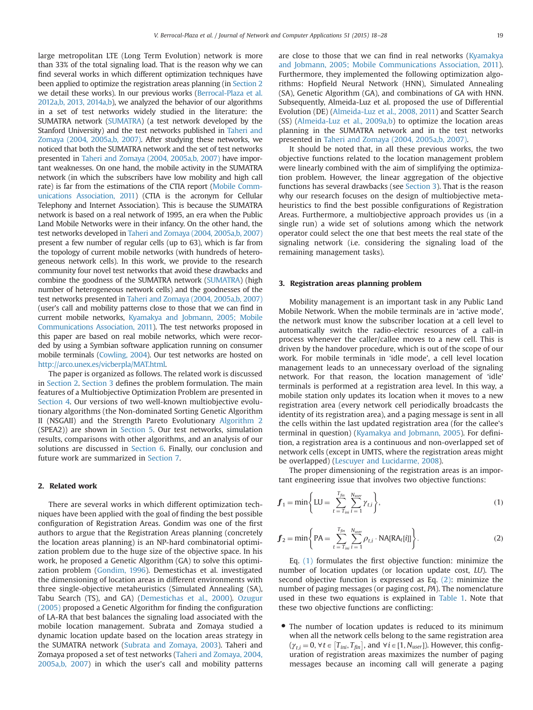large metropolitan LTE (Long Term Evolution) network is more than 33% of the total signaling load. That is the reason why we can find several works in which different optimization techniques have been applied to optimize the registration areas planning (in Section 2 we detail these works). In our previous works (Berrocal-Plaza et al. 2012a,b, 2013, 2014a,b), we analyzed the behavior of our algorithms in a set of test networks widely studied in the literature: the SUMATRA network (SUMATRA) (a test network developed by the Stanford University) and the test networks published in Taheri and Zomaya (2004, 2005a,b, 2007). After studying these networks, we noticed that both the SUMATRA network and the set of test networks presented in Taheri and Zomaya (2004, 2005a,b, 2007) have important weaknesses. On one hand, the mobile activity in the SUMATRA network (in which the subscribers have low mobility and high call rate) is far from the estimations of the CTIA report (Mobile Communications Association, 2011) (CTIA is the acronym for Cellular Telephony and Internet Association). This is because the SUMATRA network is based on a real network of 1995, an era when the Public Land Mobile Networks were in their infancy. On the other hand, the test networks developed in Taheri and Zomaya (2004, 2005a,b, 2007) present a few number of regular cells (up to 63), which is far from the topology of current mobile networks (with hundreds of heterogeneous network cells). In this work, we provide to the research community four novel test networks that avoid these drawbacks and combine the goodness of the SUMATRA network (SUMATRA) (high number of heterogeneous network cells) and the goodnesses of the test networks presented in Taheri and Zomaya (2004, 2005a,b, 2007) (user's call and mobility patterns close to those that we can find in current mobile networks, Kyamakya and Jobmann, 2005; Mobile Communications Association, 2011). The test networks proposed in this paper are based on real mobile networks, which were recorded by using a Symbian software application running on consumer mobile terminals (Cowling, 2004). Our test networks are hosted on [http://arco.unex.es/vicberpla/MAT.html.](http://arco.unex.es/vicberpla/MAT.html)

The paper is organized as follows. The related work is discussed in Section 2. Section 3 defines the problem formulation. The main features of a Multiobjective Optimization Problem are presented in Section 4. Our versions of two well-known multiobjective evolutionary algorithms (the Non-dominated Sorting Genetic Algorithm II (NSGAII) and the Strength Pareto Evolutionary Algorithm 2 (SPEA2)) are shown in Section 5. Our test networks, simulation results, comparisons with other algorithms, and an analysis of our solutions are discussed in Section 6. Finally, our conclusion and future work are summarized in Section 7.

#### 2. Related work

There are several works in which different optimization techniques have been applied with the goal of finding the best possible configuration of Registration Areas. Gondim was one of the first authors to argue that the Registration Areas planning (concretely the location areas planning) is an NP-hard combinatorial optimization problem due to the huge size of the objective space. In his work, he proposed a Genetic Algorithm (GA) to solve this optimization problem (Gondim, 1996). Demestichas et al. investigated the dimensioning of location areas in different environments with three single-objective metaheuristics (Simulated Annealing (SA), Tabu Search (TS), and GA) (Demestichas et al., 2000). Ozugur (2005) proposed a Genetic Algorithm for finding the configuration of LA-RA that best balances the signaling load associated with the mobile location management. Subrata and Zomaya studied a dynamic location update based on the location areas strategy in the SUMATRA network (Subrata and Zomaya, 2003). Taheri and Zomaya proposed a set of test networks (Taheri and Zomaya, 2004, 2005a,b, 2007) in which the user's call and mobility patterns are close to those that we can find in real networks (Kyamakya and Jobmann, 2005; Mobile Communications Association, 2011). Furthermore, they implemented the following optimization algorithms: Hopfield Neural Network (HNN), Simulated Annealing (SA), Genetic Algorithm (GA), and combinations of GA with HNN. Subsequently, Almeida-Luz et al. proposed the use of Differential Evolution (DE) (Almeida-Luz et al., 2008, 2011) and Scatter Search (SS) (Almeida-Luz et al., 2009a,b) to optimize the location areas planning in the SUMATRA network and in the test networks presented in Taheri and Zomaya (2004, 2005a,b, 2007).

It should be noted that, in all these previous works, the two objective functions related to the location management problem were linearly combined with the aim of simplifying the optimization problem. However, the linear aggregation of the objective functions has several drawbacks (see Section 3). That is the reason why our research focuses on the design of multiobjective metaheuristics to find the best possible configurations of Registration Areas. Furthermore, a multiobjective approach provides us (in a single run) a wide set of solutions among which the network operator could select the one that best meets the real state of the signaling network (i.e. considering the signaling load of the remaining management tasks).

#### 3. Registration areas planning problem

Mobility management is an important task in any Public Land Mobile Network. When the mobile terminals are in 'active mode', the network must know the subscriber location at a cell level to automatically switch the radio-electric resources of a call-in process whenever the caller/callee moves to a new cell. This is driven by the handover procedure, which is out of the scope of our work. For mobile terminals in 'idle mode', a cell level location management leads to an unnecessary overload of the signaling network. For that reason, the location management of 'idle' terminals is performed at a registration area level. In this way, a mobile station only updates its location when it moves to a new registration area (every network cell periodically broadcasts the identity of its registration area), and a paging message is sent in all the cells within the last updated registration area (for the callee's terminal in question) (Kyamakya and Jobmann, 2005). For definition, a registration area is a continuous and non-overlapped set of network cells (except in UMTS, where the registration areas might be overlapped) (Lescuyer and Lucidarme, 2008).

The proper dimensioning of the registration areas is an important engineering issue that involves two objective functions:

$$
\bm{f}_1 = \min\left\{LU = \sum_{t = T_{ini}}^{T_{fin}} \sum_{i=1}^{N_{user}} \gamma_{t,i}\right\},\tag{1}
$$

$$
f_2 = \min \left\{ PA = \sum_{t = T_{ini}}^{T_{fin}} \sum_{i=1}^{N_{user}} \rho_{t,i} \cdot \text{NA}[RA_t[i]] \right\}.
$$
 (2)

Eq. (1) formulates the first objective function: minimize the number of location updates (or location update cost, LU). The second objective function is expressed as Eq. (2): minimize the number of paging messages (or paging cost, PA). The nomenclature used in these two equations is explained in Table 1. Note that these two objective functions are conflicting:

• The number of location updates is reduced to its minimum when all the network cells belong to the same registration area  $(\gamma_{t,i} = 0, \forall t \in [T_{ini}, T_{fin}]$ , and  $\forall i \in [1, N_{user}])$ . However, this configuration of required proposition areas maximizes the number of paging uration of registration areas maximizes the number of paging messages because an incoming call will generate a paging